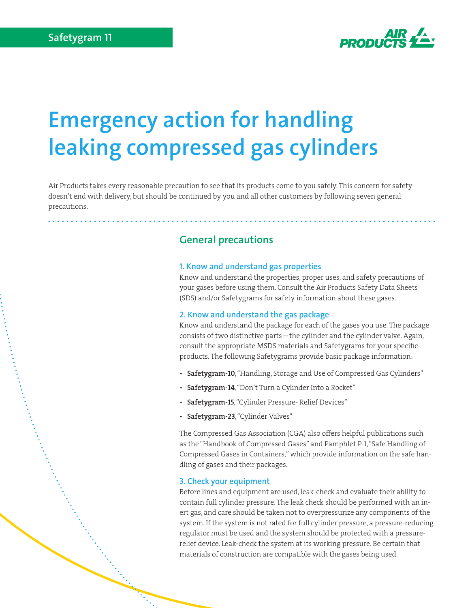

# **Emergency action for handling leaking compressed gas cylinders**

Air Products takes every reasonable precaution to see that its products come to you safely. This concern for safety doesn't end with delivery, but should be continued by you and all other customers by following seven general precautions.

# **General precautions**

#### **1. Know and understand gas properties**

Know and understand the properties, proper uses, and safety precautions of your gases before using them. Consult the Air Products Safety Data Sheets (SDS) and/or Safetygrams for safety information about these gases.

#### **2. Know and understand the gas package**

Know and understand the package for each of the gases you use. The package consists of two distinctive parts—the cylinder and the cylinder valve. Again, consult the appropriate MSDS materials and Safetygrams for your specific products. The following Safetygrams provide basic package information:

- Safetygram-10, "Handling, Storage and Use of Compressed Gas Cylinders"
- Safetygram-14, "Don't Turn a Cylinder Into a Rocket"
- Safetygram-15, "Cylinder Pressure- Relief Devices"
- Safetygram-23, "Cylinder Valves"

The Compressed Gas Association (CGA) also offers helpful publications such as the "Handbook of Compressed Gases" and Pamphlet P-1, "Safe Handling of Compressed Gases in Containers," which provide information on the safe handling of gases and their packages.

## **3. Check your equipment**

Before lines and equipment are used, leak-check and evaluate their ability to contain full cylinder pressure. The leak check should be performed with an inert gas, and care should be taken not to overpressurize any components of the system. If the system is not rated for full cylinder pressure, a pressure-reducing regulator must be used and the system should be protected with a pressurerelief device. Leak-check the system at its working pressure. Be certain that materials of construction are compatible with the gases being used.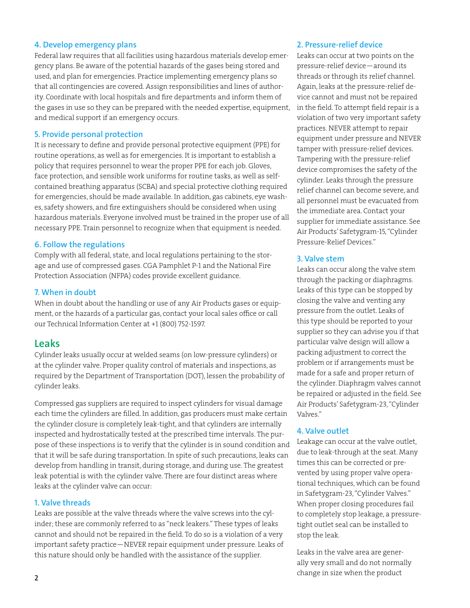## **4. Develop emergency plans**

Federal law requires that all facilities using hazardous materials develop emergency plans. Be aware of the potential hazards of the gases being stored and used, and plan for emergencies. Practice implementing emergency plans so that all contingencies are covered. Assign responsibilities and lines of authority. Coordinate with local hospitals and fire departments and inform them of the gases in use so they can be prepared with the needed expertise, equipment, and medical support if an emergency occurs.

#### **5. Provide personal protection**

It is necessary to define and provide personal protective equipment (PPE) for routine operations, as well as for emergencies. It is important to establish a policy that requires personnel to wear the proper PPE for each job. Gloves, face protection, and sensible work uniforms for routine tasks, as well as selfcontained breathing apparatus (SCBA) and special protective clothing required for emergencies, should be made available. In addition, gas cabinets, eye washes, safety showers, and fire extinguishers should be considered when using hazardous materials. Everyone involved must be trained in the proper use of all necessary PPE. Train personnel to recognize when that equipment is needed.

#### **6. Follow the regulations**

Comply with all federal, state, and local regulations pertaining to the storage and use of compressed gases. CGA Pamphlet P-1 and the National Fire Protection Association (NFPA) codes provide excellent guidance.

## **7. When in doubt**

When in doubt about the handling or use of any Air Products gases or equipment, or the hazards of a particular gas, contact your local sales office or call our Technical Information Center at +1 (800) 752-1597.

## **Leaks**

Cylinder leaks usually occur at welded seams (on low-pressure cylinders) or at the cylinder valve. Proper quality control of materials and inspections, as required by the Department of Transportation (DOT), lessen the probability of cylinder leaks.

Compressed gas suppliers are required to inspect cylinders for visual damage each time the cylinders are filled. In addition, gas producers must make certain the cylinder closure is completely leak-tight, and that cylinders are internally inspected and hydrostatically tested at the prescribed time intervals. The purpose of these inspections is to verify that the cylinder is in sound condition and that it will be safe during transportation. In spite of such precautions, leaks can develop from handling in transit, during storage, and during use. The greatest leak potential is with the cylinder valve. There are four distinct areas where leaks at the cylinder valve can occur:

## **1. Valve threads**

Leaks are possible at the valve threads where the valve screws into the cylinder; these are commonly referred to as "neck leakers." These types of leaks cannot and should not be repaired in the field. To do so is a violation of a very important safety practice—NEVER repair equipment under pressure. Leaks of this nature should only be handled with the assistance of the supplier.

### **2. Pressure-relief device**

Leaks can occur at two points on the pressure-relief device—around its threads or through its relief channel. Again, leaks at the pressure-relief device cannot and must not be repaired in the field. To attempt field repair is a violation of two very important safety practices. NEVER attempt to repair equipment under pressure and NEVER tamper with pressure-relief devices. Tampering with the pressure-relief device compromises the safety of the cylinder. Leaks through the pressure relief channel can become severe, and all personnel must be evacuated from the immediate area. Contact your supplier for immediate assistance. See Air Products' Safetygram-15, "Cylinder Pressure-Relief Devices."

## **3. Valve stem**

Leaks can occur along the valve stem through the packing or diaphragms. Leaks of this type can be stopped by closing the valve and venting any pressure from the outlet. Leaks of this type should be reported to your supplier so they can advise you if that particular valve design will allow a packing adjustment to correct the problem or if arrangements must be made for a safe and proper return of the cylinder. Diaphragm valves cannot be repaired or adjusted in the field. See Air Products' Safetygram-23, "Cylinder Valves."

## **4. Valve outlet**

Leakage can occur at the valve outlet, due to leak-through at the seat. Many times this can be corrected or prevented by using proper valve operational techniques, which can be found in Safetygram-23, "Cylinder Valves." When proper closing procedures fail to completely stop leakage, a pressuretight outlet seal can be installed to stop the leak.

Leaks in the valve area are generally very small and do not normally change in size when the product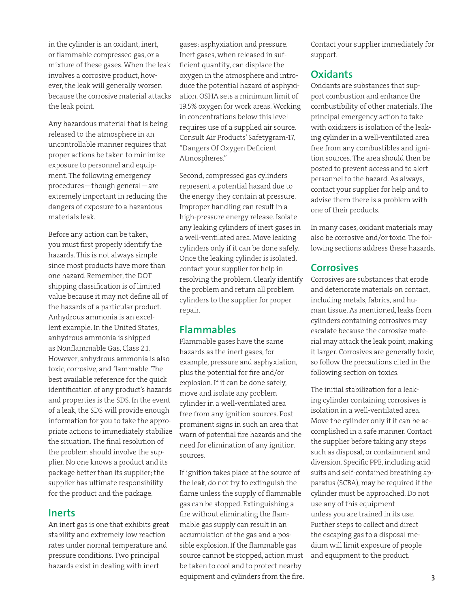in the cylinder is an oxidant, inert, or flammable compressed gas, or a mixture of these gases. When the leak involves a corrosive product, however, the leak will generally worsen because the corrosive material attacks the leak point.

Any hazardous material that is being released to the atmosphere in an uncontrollable manner requires that proper actions be taken to minimize exposure to personnel and equipment. The following emergency procedures—though general—are extremely important in reducing the dangers of exposure to a hazardous materials leak.

Before any action can be taken, you must first properly identify the hazards. This is not always simple since most products have more than one hazard. Remember, the DOT shipping classification is of limited value because it may not define all of the hazards of a particular product. Anhydrous ammonia is an excellent example. In the United States, anhydrous ammonia is shipped as Nonflammable Gas, Class 2.1. However, anhydrous ammonia is also toxic, corrosive, and flammable. The best available reference for the quick identification of any product's hazards and properties is the SDS. In the event of a leak, the SDS will provide enough information for you to take the appropriate actions to immediately stabilize the situation. The final resolution of the problem should involve the supplier. No one knows a product and its package better than its supplier; the supplier has ultimate responsibility for the product and the package.

## **Inerts**

An inert gas is one that exhibits great stability and extremely low reaction rates under normal temperature and pressure conditions. Two principal hazards exist in dealing with inert

gases: asphyxiation and pressure. Inert gases, when released in sufficient quantity, can displace the oxygen in the atmosphere and introduce the potential hazard of asphyxiation. OSHA sets a minimum limit of 19.5% oxygen for work areas. Working in concentrations below this level requires use of a supplied air source. Consult Air Products' Safetygram-17, "Dangers Of Oxygen Deficient Atmospheres."

Second, compressed gas cylinders represent a potential hazard due to the energy they contain at pressure. Improper handling can result in a high-pressure energy release. Isolate any leaking cylinders of inert gases in a well-ventilated area. Move leaking cylinders only if it can be done safely. Once the leaking cylinder is isolated, contact your supplier for help in resolving the problem. Clearly identify the problem and return all problem cylinders to the supplier for proper repair.

## **Flammables**

Flammable gases have the same hazards as the inert gases, for example, pressure and asphyxiation, plus the potential for fire and/or explosion. If it can be done safely, move and isolate any problem cylinder in a well-ventilated area free from any ignition sources. Post prominent signs in such an area that warn of potential fire hazards and the need for elimination of any ignition sources.

If ignition takes place at the source of the leak, do not try to extinguish the flame unless the supply of flammable gas can be stopped. Extinguishing a fire without eliminating the flammable gas supply can result in an accumulation of the gas and a possible explosion. If the flammable gas source cannot be stopped, action must be taken to cool and to protect nearby equipment and cylinders from the fire.

Contact your supplier immediately for support.

# **Oxidants**

Oxidants are substances that support combustion and enhance the combustibility of other materials. The principal emergency action to take with oxidizers is isolation of the leaking cylinder in a well-ventilated area free from any combustibles and ignition sources. The area should then be posted to prevent access and to alert personnel to the hazard. As always, contact your supplier for help and to advise them there is a problem with one of their products.

In many cases, oxidant materials may also be corrosive and/or toxic. The following sections address these hazards.

# **Corrosives**

Corrosives are substances that erode and deteriorate materials on contact, including metals, fabrics, and human tissue. As mentioned, leaks from cylinders containing corrosives may escalate because the corrosive material may attack the leak point, making it larger. Corrosives are generally toxic, so follow the precautions cited in the following section on toxics.

The initial stabilization for a leaking cylinder containing corrosives is isolation in a well-ventilated area. Move the cylinder only if it can be accomplished in a safe manner. Contact the supplier before taking any steps such as disposal, or containment and diversion. Specific PPE, including acid suits and self-contained breathing apparatus (SCBA), may be required if the cylinder must be approached. Do not use any of this equipment unless you are trained in its use. Further steps to collect and direct the escaping gas to a disposal medium will limit exposure of people and equipment to the product.